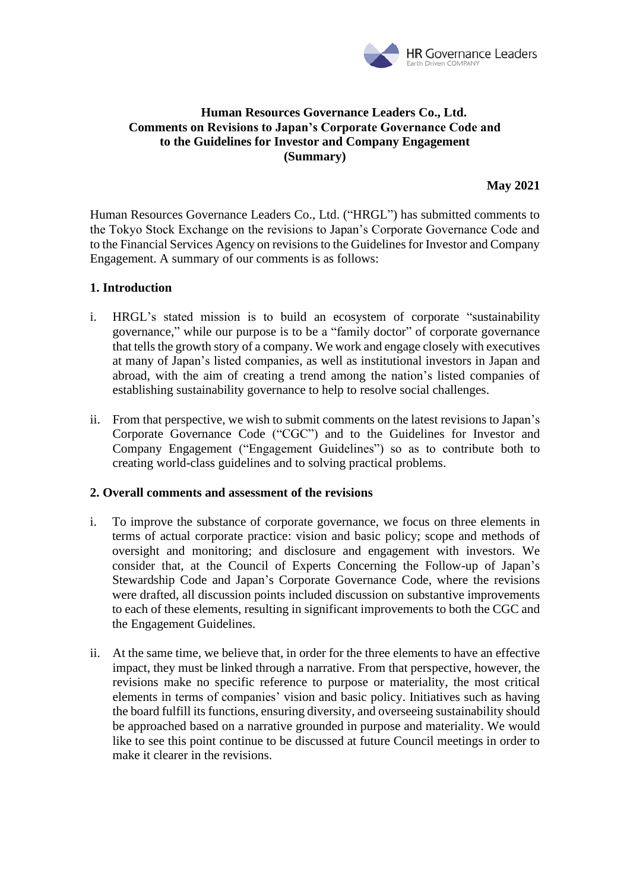

## **Human Resources Governance Leaders Co., Ltd. Comments on Revisions to Japan's Corporate Governance Code and to the Guidelines for Investor and Company Engagement (Summary)**

## **May 2021**

Human Resources Governance Leaders Co., Ltd. ("HRGL") has submitted comments to the Tokyo Stock Exchange on the revisions to Japan's Corporate Governance Code and to the Financial Services Agency on revisions to the Guidelines for Investor and Company Engagement. A summary of our comments is as follows:

## **1. Introduction**

- i. HRGL's stated mission is to build an ecosystem of corporate "sustainability governance," while our purpose is to be a "family doctor" of corporate governance that tells the growth story of a company. We work and engage closely with executives at many of Japan's listed companies, as well as institutional investors in Japan and abroad, with the aim of creating a trend among the nation's listed companies of establishing sustainability governance to help to resolve social challenges.
- ii. From that perspective, we wish to submit comments on the latest revisions to Japan's Corporate Governance Code ("CGC") and to the Guidelines for Investor and Company Engagement ("Engagement Guidelines") so as to contribute both to creating world-class guidelines and to solving practical problems.

## **2. Overall comments and assessment of the revisions**

- i. To improve the substance of corporate governance, we focus on three elements in terms of actual corporate practice: vision and basic policy; scope and methods of oversight and monitoring; and disclosure and engagement with investors. We consider that, at the Council of Experts Concerning the Follow-up of Japan's Stewardship Code and Japan's Corporate Governance Code, where the revisions were drafted, all discussion points included discussion on substantive improvements to each of these elements, resulting in significant improvements to both the CGC and the Engagement Guidelines.
- ii. At the same time, we believe that, in order for the three elements to have an effective impact, they must be linked through a narrative. From that perspective, however, the revisions make no specific reference to purpose or materiality, the most critical elements in terms of companies' vision and basic policy. Initiatives such as having the board fulfill its functions, ensuring diversity, and overseeing sustainability should be approached based on a narrative grounded in purpose and materiality. We would like to see this point continue to be discussed at future Council meetings in order to make it clearer in the revisions.